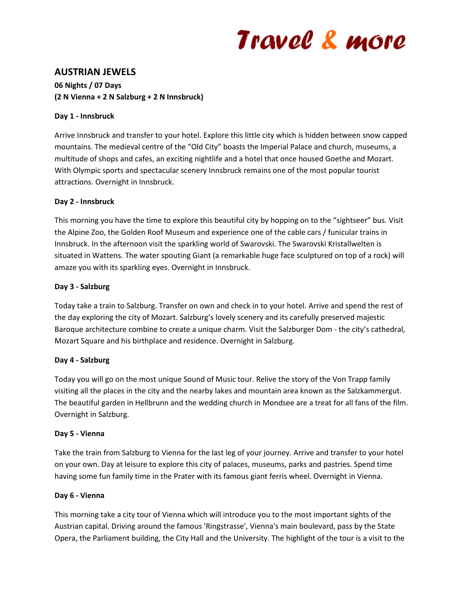# Travel & more

# **AUSTRIAN JEWELS**

# **06 Nights / 07 Days (2 N Vienna + 2 N Salzburg + 2 N Innsbruck)**

### **Day 1 - Innsbruck**

Arrive Innsbruck and transfer to your hotel. Explore this little city which is hidden between snow capped mountains. The medieval centre of the "Old City" boasts the Imperial Palace and church, museums, a multitude of shops and cafes, an exciting nightlife and a hotel that once housed Goethe and Mozart. With Olympic sports and spectacular scenery Innsbruck remains one of the most popular tourist attractions. Overnight in Innsbruck.

## **Day 2 - Innsbruck**

This morning you have the time to explore this beautiful city by hopping on to the "sightseer" bus. Visit the Alpine Zoo, the Golden Roof Museum and experience one of the cable cars / funicular trains in Innsbruck. In the afternoon visit the sparkling world of Swarovski. The Swarovski Kristallwelten is situated in Wattens. The water spouting Giant (a remarkable huge face sculptured on top of a rock) will amaze you with its sparkling eyes. Overnight in Innsbruck.

## **Day 3 - Salzburg**

Today take a train to Salzburg. Transfer on own and check in to your hotel. Arrive and spend the rest of the day exploring the city of Mozart. Salzburg's lovely scenery and its carefully preserved majestic Baroque architecture combine to create a unique charm. Visit the Salzburger Dom - the city's cathedral, Mozart Square and his birthplace and residence. Overnight in Salzburg.

# **Day 4 - Salzburg**

Today you will go on the most unique Sound of Music tour. Relive the story of the Von Trapp family visiting all the places in the city and the nearby lakes and mountain area known as the Salzkammergut. The beautiful garden in Hellbrunn and the wedding church in Mondsee are a treat for all fans of the film. Overnight in Salzburg.

#### **Day 5 - Vienna**

Take the train from Salzburg to Vienna for the last leg of your journey. Arrive and transfer to your hotel on your own. Day at leisure to explore this city of palaces, museums, parks and pastries. Spend time having some fun family time in the Prater with its famous giant ferris wheel. Overnight in Vienna.

#### **Day 6 - Vienna**

This morning take a city tour of Vienna which will introduce you to the most important sights of the Austrian capital. Driving around the famous 'Ringstrasse', Vienna's main boulevard, pass by the State Opera, the Parliament building, the City Hall and the University. The highlight of the tour is a visit to the